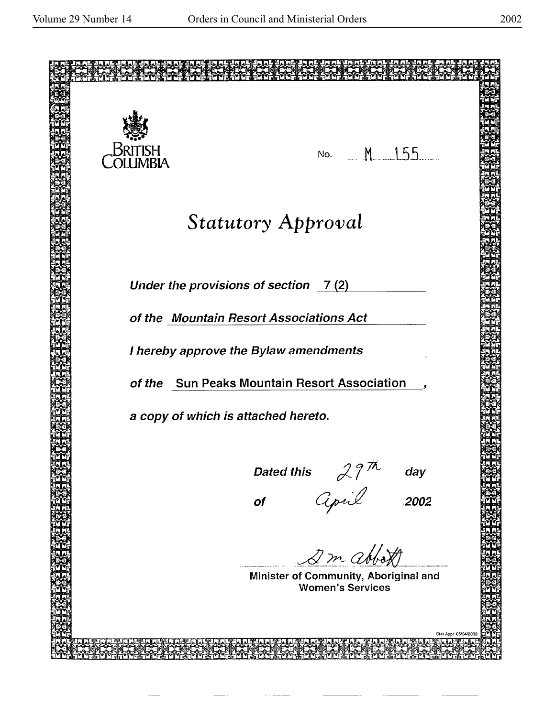| British<br><b>LUMBIA</b> | No. M. 155                                                |
|--------------------------|-----------------------------------------------------------|
|                          | <b>Statutory Approval</b>                                 |
|                          | Under the provisions of section 7(2)                      |
|                          | of the Mountain Resort Associations Act                   |
|                          | I hereby approve the Bylaw amendments                     |
|                          | of the Sun Peaks Mountain Resort Association              |
|                          | a copy of which is attached hereto.                       |
|                          | day                                                       |
|                          | Dated this $29^{\frac{m}{m}}$<br>of <i>Cipil</i><br>.2002 |
|                          |                                                           |
|                          | 2 m abbott<br>Minister of Community, Aboriginal and       |
|                          | <b>Women's Services</b>                                   |
|                          | Stat App1 05/04/2002                                      |
|                          |                                                           |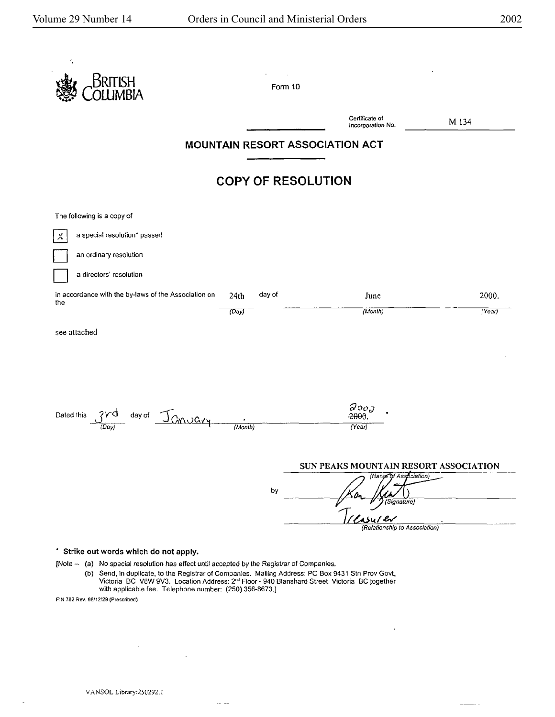| Kritish                                                     | Form 10                         |                                       |        |
|-------------------------------------------------------------|---------------------------------|---------------------------------------|--------|
|                                                             |                                 | Certificate of<br>Incorporation No.   | M 134  |
|                                                             | MOUNTAIN RESORT ASSOCIATION ACT |                                       |        |
|                                                             | <b>COPY OF RESOLUTION</b>       |                                       |        |
| The following is a copy of                                  |                                 |                                       |        |
| a special resolution* passed<br>$\mathbf x$                 |                                 |                                       |        |
| an ordinary resolution                                      |                                 |                                       |        |
| a directors' resolution                                     |                                 |                                       |        |
| in accordance with the by-laws of the Association on<br>the | day of<br>24th                  | June                                  | 2000.  |
|                                                             | (Day)                           | (Month)                               | (Year) |
| see attached                                                |                                 |                                       |        |
|                                                             |                                 |                                       |        |
|                                                             |                                 |                                       |        |
|                                                             |                                 |                                       |        |
| Dated this                                                  |                                 | $\partial$ oo $_{J}$<br>$-2000$       |        |
| day of January<br>(Day                                      | (Month)                         | (Year)                                |        |
|                                                             |                                 |                                       |        |
|                                                             |                                 | SUN PEAKS MOUNTAIN RESORT ASSOCIATION |        |
|                                                             | by                              | (Nanje of Association)                |        |
|                                                             |                                 | (Signature)                           |        |
|                                                             |                                 |                                       |        |

[Nole - (a) No special resolution has effect until accepted by the Registrar of Companies. (b) Send, in duplicate, to the Registrar of Companies. Mailing Address: PO Box 9431 Stn Prov Govt, Victoria BC V8W 9V3. Location Address: 2<sup>nd</sup> Floor - 940 Blanshard Street, Victoria BC together with applicable fee. Telephone number: (250) 356-8673.]

 $\sim$ 

 $\ddot{\phantom{0}}$ 

 $\begin{tabular}{ll} \multicolumn{2}{c}{\textbf{1} } & \multicolumn{2}{c}{\textbf{2} } & \multicolumn{2}{c}{\textbf{3} } & \multicolumn{2}{c}{\textbf{4} } & \multicolumn{2}{c}{\textbf{5} } & \multicolumn{2}{c}{\textbf{6} } & \multicolumn{2}{c}{\textbf{7} } & \multicolumn{2}{c}{\textbf{8} } & \multicolumn{2}{c}{\textbf{9} } & \multicolumn{2}{c}{\textbf{1} } & \multicolumn{2}{c}{\textbf{1} } & \multicolumn{2}{c}{\textbf{1} } & \multicolumn{2}{c$ 

FIN 782 Res. 98/12/29 (Prescribed)

 $\bar{z}$ 

 $\sim$ 

 $\bar{z}$